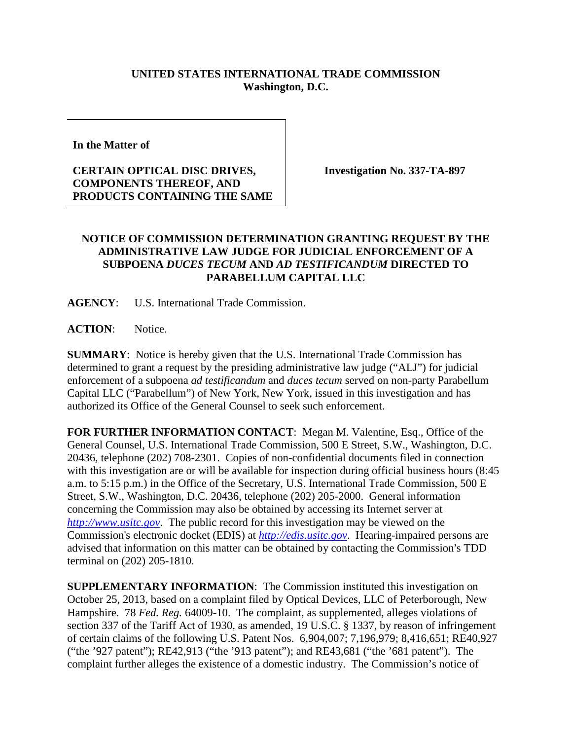## **UNITED STATES INTERNATIONAL TRADE COMMISSION Washington, D.C.**

**In the Matter of** 

## **CERTAIN OPTICAL DISC DRIVES, COMPONENTS THEREOF, AND PRODUCTS CONTAINING THE SAME**

**Investigation No. 337-TA-897**

## **NOTICE OF COMMISSION DETERMINATION GRANTING REQUEST BY THE ADMINISTRATIVE LAW JUDGE FOR JUDICIAL ENFORCEMENT OF A SUBPOENA** *DUCES TECUM* **AND** *AD TESTIFICANDUM* **DIRECTED TO PARABELLUM CAPITAL LLC**

**AGENCY**: U.S. International Trade Commission.

ACTION: Notice.

**SUMMARY**: Notice is hereby given that the U.S. International Trade Commission has determined to grant a request by the presiding administrative law judge ("ALJ") for judicial enforcement of a subpoena *ad testificandum* and *duces tecum* served on non-party Parabellum Capital LLC ("Parabellum") of New York, New York, issued in this investigation and has authorized its Office of the General Counsel to seek such enforcement.

**FOR FURTHER INFORMATION CONTACT**: Megan M. Valentine, Esq., Office of the General Counsel, U.S. International Trade Commission, 500 E Street, S.W., Washington, D.C. 20436, telephone (202) 708-2301. Copies of non-confidential documents filed in connection with this investigation are or will be available for inspection during official business hours (8:45) a.m. to 5:15 p.m.) in the Office of the Secretary, U.S. International Trade Commission, 500 E Street, S.W., Washington, D.C. 20436, telephone (202) 205-2000. General information concerning the Commission may also be obtained by accessing its Internet server at *[http://www.usitc.gov](http://www.usitc.gov/)*. The public record for this investigation may be viewed on the Commission's electronic docket (EDIS) at *[http://edis.usitc.gov](http://edis.usitc.gov/)*. Hearing-impaired persons are advised that information on this matter can be obtained by contacting the Commission's TDD terminal on (202) 205-1810.

**SUPPLEMENTARY INFORMATION**: The Commission instituted this investigation on October 25, 2013, based on a complaint filed by Optical Devices, LLC of Peterborough, New Hampshire. 78 *Fed. Reg.* 64009-10. The complaint, as supplemented, alleges violations of section 337 of the Tariff Act of 1930, as amended, 19 U.S.C. § 1337, by reason of infringement of certain claims of the following U.S. Patent Nos. 6,904,007; 7,196,979; 8,416,651; RE40,927 ("the '927 patent"); RE42,913 ("the '913 patent"); and RE43,681 ("the '681 patent"). The complaint further alleges the existence of a domestic industry. The Commission's notice of